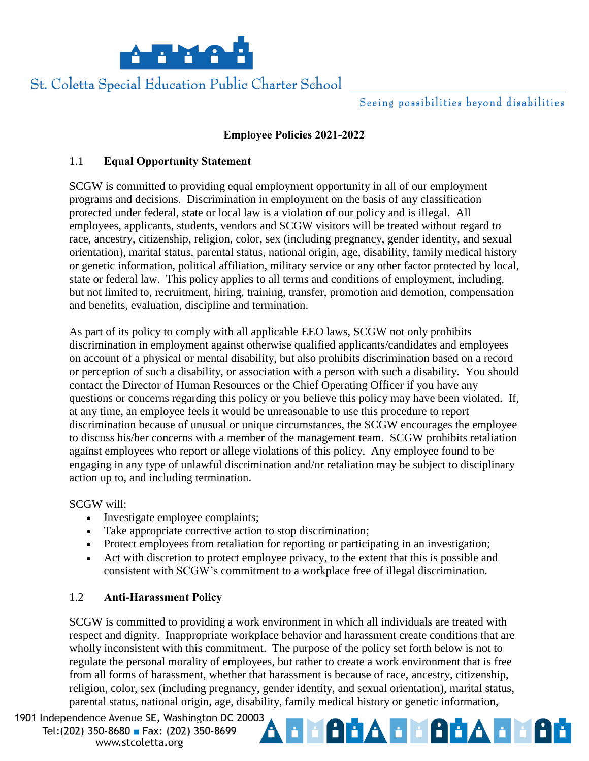

# St. Coletta Special Education Public Charter School

## **Employee Policies 2021-2022**

## 1.1 **Equal Opportunity Statement**

SCGW is committed to providing equal employment opportunity in all of our employment programs and decisions. Discrimination in employment on the basis of any classification protected under federal, state or local law is a violation of our policy and is illegal. All employees, applicants, students, vendors and SCGW visitors will be treated without regard to race, ancestry, citizenship, religion, color, sex (including pregnancy, gender identity, and sexual orientation), marital status, parental status, national origin, age, disability, family medical history or genetic information, political affiliation, military service or any other factor protected by local, state or federal law. This policy applies to all terms and conditions of employment, including, but not limited to, recruitment, hiring, training, transfer, promotion and demotion, compensation and benefits, evaluation, discipline and termination.

As part of its policy to comply with all applicable EEO laws, SCGW not only prohibits discrimination in employment against otherwise qualified applicants/candidates and employees on account of a physical or mental disability, but also prohibits discrimination based on a record or perception of such a disability, or association with a person with such a disability. You should contact the Director of Human Resources or the Chief Operating Officer if you have any questions or concerns regarding this policy or you believe this policy may have been violated. If, at any time, an employee feels it would be unreasonable to use this procedure to report discrimination because of unusual or unique circumstances, the SCGW encourages the employee to discuss his/her concerns with a member of the management team. SCGW prohibits retaliation against employees who report or allege violations of this policy. Any employee found to be engaging in any type of unlawful discrimination and/or retaliation may be subject to disciplinary action up to, and including termination.

SCGW will:

- Investigate employee complaints;
- Take appropriate corrective action to stop discrimination;
- Protect employees from retaliation for reporting or participating in an investigation;
- Act with discretion to protect employee privacy, to the extent that this is possible and consistent with SCGW's commitment to a workplace free of illegal discrimination.

## 1.2 **Anti-Harassment Policy**

SCGW is committed to providing a work environment in which all individuals are treated with respect and dignity. Inappropriate workplace behavior and harassment create conditions that are wholly inconsistent with this commitment. The purpose of the policy set forth below is not to regulate the personal morality of employees, but rather to create a work environment that is free from all forms of harassment, whether that harassment is because of race, ancestry, citizenship, religion, color, sex (including pregnancy, gender identity, and sexual orientation), marital status, parental status, national origin, age, disability, family medical history or genetic information,

1901 Independence Avenue SE, Washington DC 20003 Tel: (202) 350-8680 Fax: (202) 350-8699 www.stcoletta.org

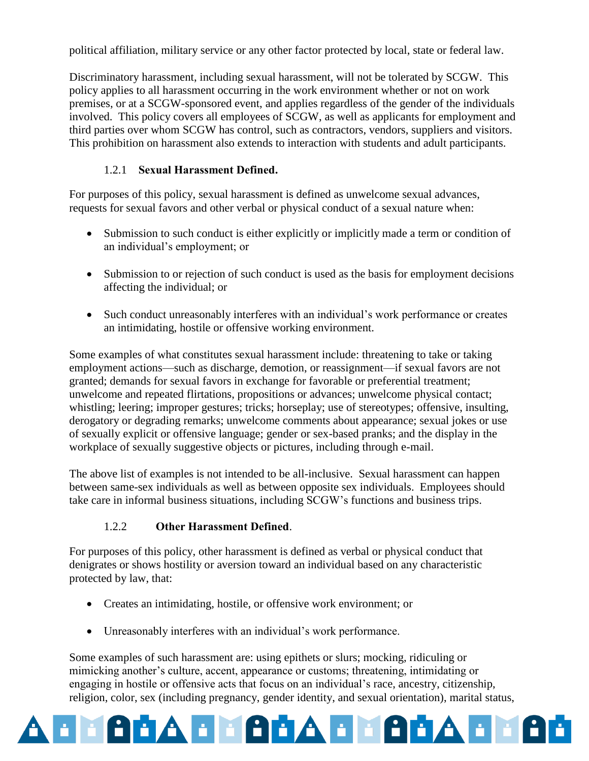political affiliation, military service or any other factor protected by local, state or federal law.

Discriminatory harassment, including sexual harassment, will not be tolerated by SCGW. This policy applies to all harassment occurring in the work environment whether or not on work premises, or at a SCGW-sponsored event, and applies regardless of the gender of the individuals involved. This policy covers all employees of SCGW, as well as applicants for employment and third parties over whom SCGW has control, such as contractors, vendors, suppliers and visitors. This prohibition on harassment also extends to interaction with students and adult participants.

# 1.2.1 **Sexual Harassment Defined.**

For purposes of this policy, sexual harassment is defined as unwelcome sexual advances, requests for sexual favors and other verbal or physical conduct of a sexual nature when:

- Submission to such conduct is either explicitly or implicitly made a term or condition of an individual's employment; or
- Submission to or rejection of such conduct is used as the basis for employment decisions affecting the individual; or
- Such conduct unreasonably interferes with an individual's work performance or creates an intimidating, hostile or offensive working environment.

Some examples of what constitutes sexual harassment include: threatening to take or taking employment actions—such as discharge, demotion, or reassignment—if sexual favors are not granted; demands for sexual favors in exchange for favorable or preferential treatment; unwelcome and repeated flirtations, propositions or advances; unwelcome physical contact; whistling; leering; improper gestures; tricks; horseplay; use of stereotypes; offensive, insulting, derogatory or degrading remarks; unwelcome comments about appearance; sexual jokes or use of sexually explicit or offensive language; gender or sex-based pranks; and the display in the workplace of sexually suggestive objects or pictures, including through e-mail.

The above list of examples is not intended to be all-inclusive. Sexual harassment can happen between same-sex individuals as well as between opposite sex individuals. Employees should take care in informal business situations, including SCGW's functions and business trips.

## 1.2.2 **Other Harassment Defined**.

For purposes of this policy, other harassment is defined as verbal or physical conduct that denigrates or shows hostility or aversion toward an individual based on any characteristic protected by law, that:

- Creates an intimidating, hostile, or offensive work environment; or
- Unreasonably interferes with an individual's work performance.

Some examples of such harassment are: using epithets or slurs; mocking, ridiculing or mimicking another's culture, accent, appearance or customs; threatening, intimidating or engaging in hostile or offensive acts that focus on an individual's race, ancestry, citizenship, religion, color, sex (including pregnancy, gender identity, and sexual orientation), marital status,

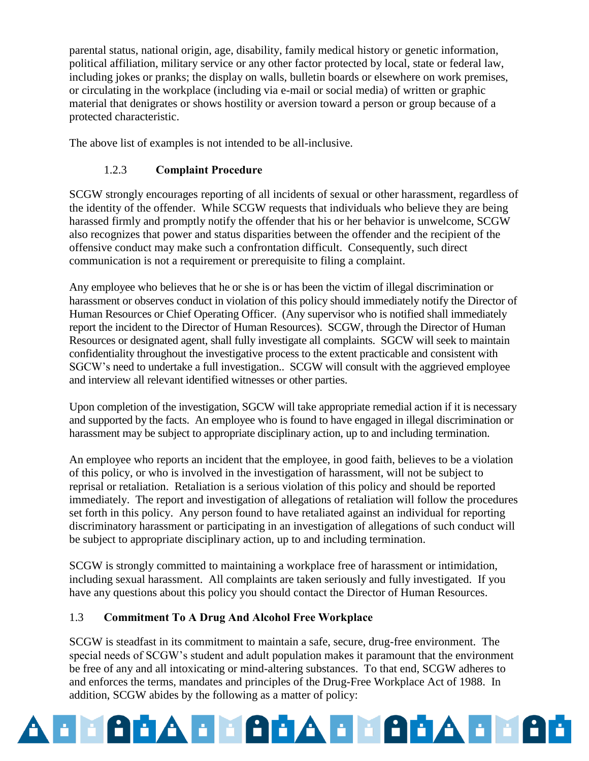parental status, national origin, age, disability, family medical history or genetic information, political affiliation, military service or any other factor protected by local, state or federal law, including jokes or pranks; the display on walls, bulletin boards or elsewhere on work premises, or circulating in the workplace (including via e-mail or social media) of written or graphic material that denigrates or shows hostility or aversion toward a person or group because of a protected characteristic.

The above list of examples is not intended to be all-inclusive.

# 1.2.3 **Complaint Procedure**

SCGW strongly encourages reporting of all incidents of sexual or other harassment, regardless of the identity of the offender. While SCGW requests that individuals who believe they are being harassed firmly and promptly notify the offender that his or her behavior is unwelcome, SCGW also recognizes that power and status disparities between the offender and the recipient of the offensive conduct may make such a confrontation difficult. Consequently, such direct communication is not a requirement or prerequisite to filing a complaint.

Any employee who believes that he or she is or has been the victim of illegal discrimination or harassment or observes conduct in violation of this policy should immediately notify the Director of Human Resources or Chief Operating Officer. (Any supervisor who is notified shall immediately report the incident to the Director of Human Resources). SCGW, through the Director of Human Resources or designated agent, shall fully investigate all complaints. SGCW will seek to maintain confidentiality throughout the investigative process to the extent practicable and consistent with SGCW's need to undertake a full investigation.. SCGW will consult with the aggrieved employee and interview all relevant identified witnesses or other parties.

Upon completion of the investigation, SGCW will take appropriate remedial action if it is necessary and supported by the facts. An employee who is found to have engaged in illegal discrimination or harassment may be subject to appropriate disciplinary action, up to and including termination.

An employee who reports an incident that the employee, in good faith, believes to be a violation of this policy, or who is involved in the investigation of harassment, will not be subject to reprisal or retaliation. Retaliation is a serious violation of this policy and should be reported immediately. The report and investigation of allegations of retaliation will follow the procedures set forth in this policy. Any person found to have retaliated against an individual for reporting discriminatory harassment or participating in an investigation of allegations of such conduct will be subject to appropriate disciplinary action, up to and including termination.

SCGW is strongly committed to maintaining a workplace free of harassment or intimidation, including sexual harassment. All complaints are taken seriously and fully investigated. If you have any questions about this policy you should contact the Director of Human Resources.

## 1.3 **Commitment To A Drug And Alcohol Free Workplace**

SCGW is steadfast in its commitment to maintain a safe, secure, drug-free environment. The special needs of SCGW's student and adult population makes it paramount that the environment be free of any and all intoxicating or mind-altering substances. To that end, SCGW adheres to and enforces the terms, mandates and principles of the Drug-Free Workplace Act of 1988. In addition, SCGW abides by the following as a matter of policy:

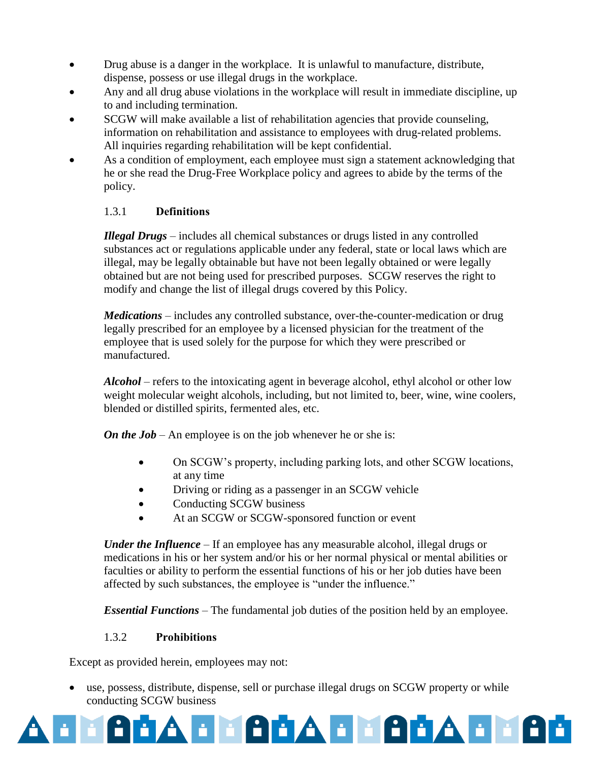- Drug abuse is a danger in the workplace. It is unlawful to manufacture, distribute, dispense, possess or use illegal drugs in the workplace.
- Any and all drug abuse violations in the workplace will result in immediate discipline, up to and including termination.
- SCGW will make available a list of rehabilitation agencies that provide counseling, information on rehabilitation and assistance to employees with drug-related problems. All inquiries regarding rehabilitation will be kept confidential.
- As a condition of employment, each employee must sign a statement acknowledging that he or she read the Drug-Free Workplace policy and agrees to abide by the terms of the policy.

#### 1.3.1 **Definitions**

*Illegal Drugs* – includes all chemical substances or drugs listed in any controlled substances act or regulations applicable under any federal, state or local laws which are illegal, may be legally obtainable but have not been legally obtained or were legally obtained but are not being used for prescribed purposes. SCGW reserves the right to modify and change the list of illegal drugs covered by this Policy.

*Medications –* includes any controlled substance, over-the-counter-medication or drug legally prescribed for an employee by a licensed physician for the treatment of the employee that is used solely for the purpose for which they were prescribed or manufactured.

*Alcohol* – refers to the intoxicating agent in beverage alcohol, ethyl alcohol or other low weight molecular weight alcohols, including, but not limited to, beer, wine, wine coolers, blended or distilled spirits, fermented ales, etc.

*On the Job* – An employee is on the job whenever he or she is:

- On SCGW's property, including parking lots, and other SCGW locations, at any time
- Driving or riding as a passenger in an SCGW vehicle
- Conducting SCGW business
- At an SCGW or SCGW-sponsored function or event

*Under the Influence* – If an employee has any measurable alcohol, illegal drugs or medications in his or her system and/or his or her normal physical or mental abilities or faculties or ability to perform the essential functions of his or her job duties have been affected by such substances, the employee is "under the influence."

*Essential Functions* – The fundamental job duties of the position held by an employee.

#### 1.3.2 **Prohibitions**

Except as provided herein, employees may not:

 use, possess, distribute, dispense, sell or purchase illegal drugs on SCGW property or while conducting SCGW business

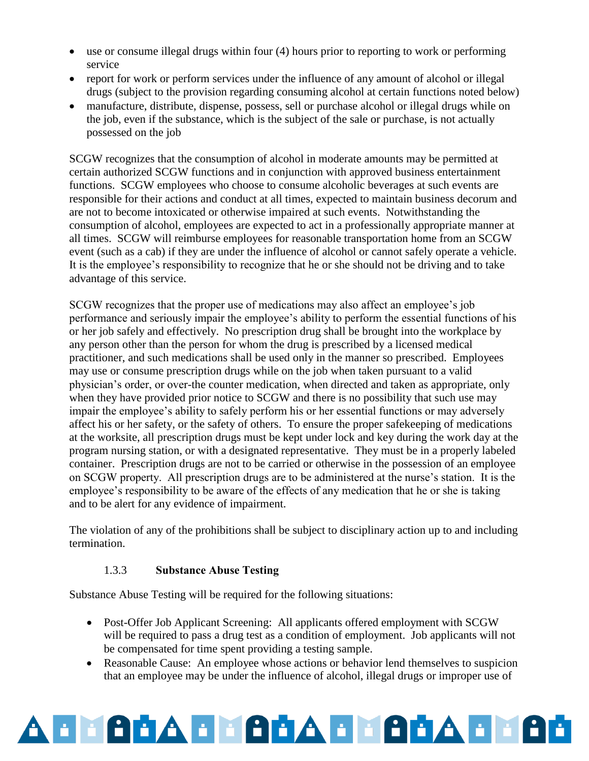- use or consume illegal drugs within four (4) hours prior to reporting to work or performing service
- report for work or perform services under the influence of any amount of alcohol or illegal drugs (subject to the provision regarding consuming alcohol at certain functions noted below)
- manufacture, distribute, dispense, possess, sell or purchase alcohol or illegal drugs while on the job, even if the substance, which is the subject of the sale or purchase, is not actually possessed on the job

SCGW recognizes that the consumption of alcohol in moderate amounts may be permitted at certain authorized SCGW functions and in conjunction with approved business entertainment functions. SCGW employees who choose to consume alcoholic beverages at such events are responsible for their actions and conduct at all times, expected to maintain business decorum and are not to become intoxicated or otherwise impaired at such events. Notwithstanding the consumption of alcohol, employees are expected to act in a professionally appropriate manner at all times. SCGW will reimburse employees for reasonable transportation home from an SCGW event (such as a cab) if they are under the influence of alcohol or cannot safely operate a vehicle. It is the employee's responsibility to recognize that he or she should not be driving and to take advantage of this service.

SCGW recognizes that the proper use of medications may also affect an employee's job performance and seriously impair the employee's ability to perform the essential functions of his or her job safely and effectively. No prescription drug shall be brought into the workplace by any person other than the person for whom the drug is prescribed by a licensed medical practitioner, and such medications shall be used only in the manner so prescribed. Employees may use or consume prescription drugs while on the job when taken pursuant to a valid physician's order, or over-the counter medication, when directed and taken as appropriate, only when they have provided prior notice to SCGW and there is no possibility that such use may impair the employee's ability to safely perform his or her essential functions or may adversely affect his or her safety, or the safety of others. To ensure the proper safekeeping of medications at the worksite, all prescription drugs must be kept under lock and key during the work day at the program nursing station, or with a designated representative. They must be in a properly labeled container. Prescription drugs are not to be carried or otherwise in the possession of an employee on SCGW property. All prescription drugs are to be administered at the nurse's station. It is the employee's responsibility to be aware of the effects of any medication that he or she is taking and to be alert for any evidence of impairment.

The violation of any of the prohibitions shall be subject to disciplinary action up to and including termination.

#### 1.3.3 **Substance Abuse Testing**

Substance Abuse Testing will be required for the following situations:

- Post-Offer Job Applicant Screening: All applicants offered employment with SCGW will be required to pass a drug test as a condition of employment. Job applicants will not be compensated for time spent providing a testing sample.
- Reasonable Cause: An employee whose actions or behavior lend themselves to suspicion that an employee may be under the influence of alcohol, illegal drugs or improper use of

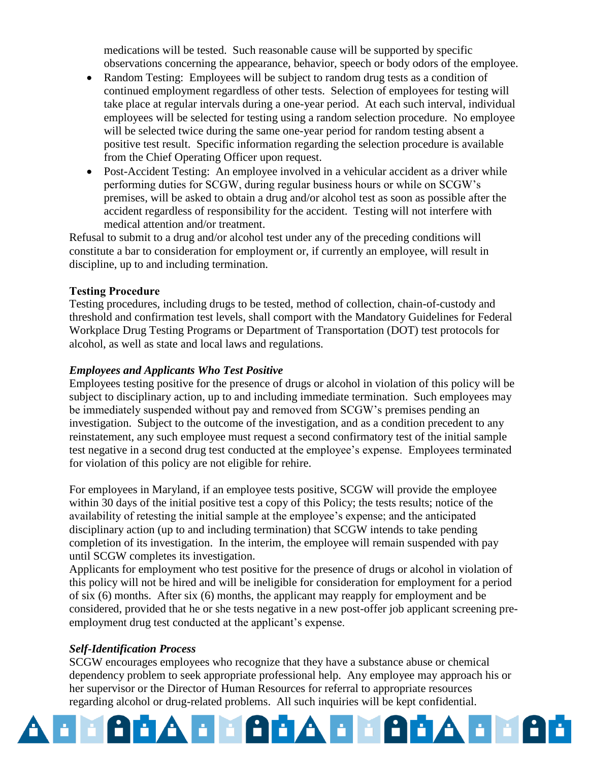medications will be tested. Such reasonable cause will be supported by specific observations concerning the appearance, behavior, speech or body odors of the employee.

- Random Testing: Employees will be subject to random drug tests as a condition of continued employment regardless of other tests. Selection of employees for testing will take place at regular intervals during a one-year period. At each such interval, individual employees will be selected for testing using a random selection procedure. No employee will be selected twice during the same one-year period for random testing absent a positive test result. Specific information regarding the selection procedure is available from the Chief Operating Officer upon request.
- Post-Accident Testing: An employee involved in a vehicular accident as a driver while performing duties for SCGW, during regular business hours or while on SCGW's premises, will be asked to obtain a drug and/or alcohol test as soon as possible after the accident regardless of responsibility for the accident. Testing will not interfere with medical attention and/or treatment.

Refusal to submit to a drug and/or alcohol test under any of the preceding conditions will constitute a bar to consideration for employment or, if currently an employee, will result in discipline, up to and including termination.

#### **Testing Procedure**

Testing procedures, including drugs to be tested, method of collection, chain-of-custody and threshold and confirmation test levels, shall comport with the Mandatory Guidelines for Federal Workplace Drug Testing Programs or Department of Transportation (DOT) test protocols for alcohol, as well as state and local laws and regulations.

#### *Employees and Applicants Who Test Positive*

Employees testing positive for the presence of drugs or alcohol in violation of this policy will be subject to disciplinary action, up to and including immediate termination. Such employees may be immediately suspended without pay and removed from SCGW's premises pending an investigation. Subject to the outcome of the investigation, and as a condition precedent to any reinstatement, any such employee must request a second confirmatory test of the initial sample test negative in a second drug test conducted at the employee's expense. Employees terminated for violation of this policy are not eligible for rehire.

For employees in Maryland, if an employee tests positive, SCGW will provide the employee within 30 days of the initial positive test a copy of this Policy; the tests results; notice of the availability of retesting the initial sample at the employee's expense; and the anticipated disciplinary action (up to and including termination) that SCGW intends to take pending completion of its investigation. In the interim, the employee will remain suspended with pay until SCGW completes its investigation.

Applicants for employment who test positive for the presence of drugs or alcohol in violation of this policy will not be hired and will be ineligible for consideration for employment for a period of six (6) months. After six (6) months, the applicant may reapply for employment and be considered, provided that he or she tests negative in a new post-offer job applicant screening preemployment drug test conducted at the applicant's expense.

#### *Self-Identification Process*

SCGW encourages employees who recognize that they have a substance abuse or chemical dependency problem to seek appropriate professional help. Any employee may approach his or her supervisor or the Director of Human Resources for referral to appropriate resources regarding alcohol or drug-related problems. All such inquiries will be kept confidential.